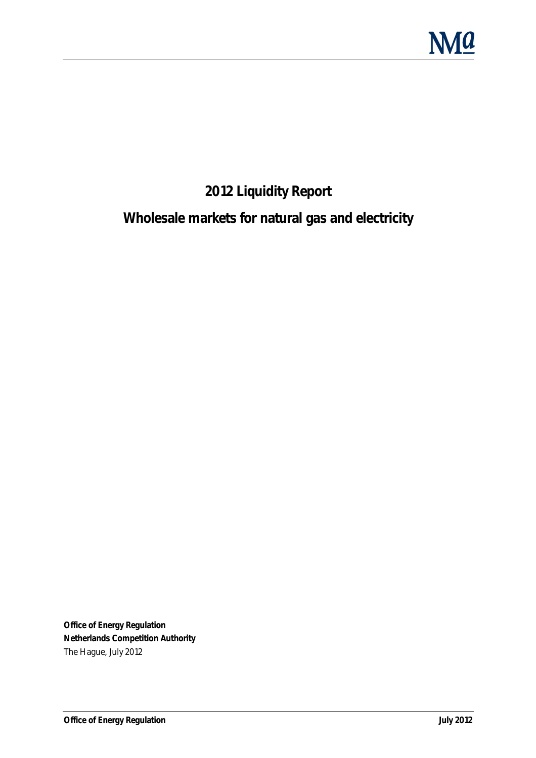

## **2012 Liquidity Report**

## **Wholesale markets for natural gas and electricity**

**Office of Energy Regulation Netherlands Competition Authority**  The Hague, July 2012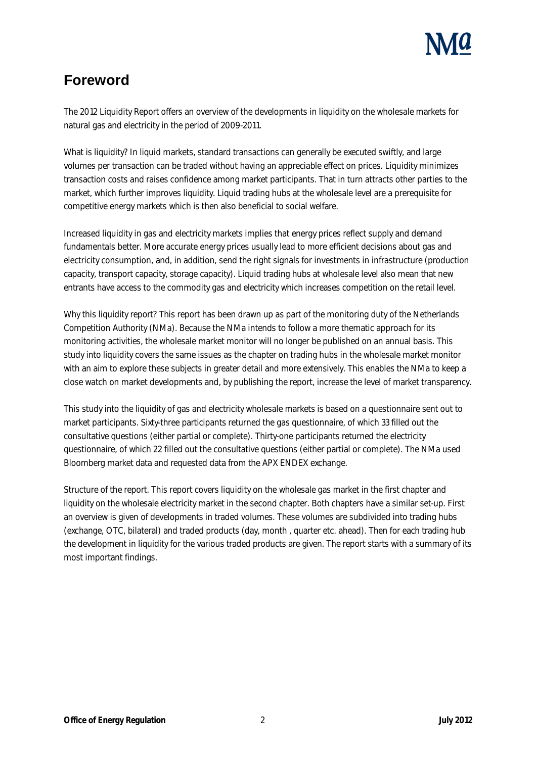### **Foreword**

The 2012 Liquidity Report offers an overview of the developments in liquidity on the wholesale markets for natural gas and electricity in the period of 2009-2011.

What is liquidity? In liquid markets, standard transactions can generally be executed swiftly, and large volumes per transaction can be traded without having an appreciable effect on prices. Liquidity minimizes transaction costs and raises confidence among market participants. That in turn attracts other parties to the market, which further improves liquidity. Liquid trading hubs at the wholesale level are a prerequisite for competitive energy markets which is then also beneficial to social welfare.

Increased liquidity in gas and electricity markets implies that energy prices reflect supply and demand fundamentals better. More accurate energy prices usually lead to more efficient decisions about gas and electricity consumption, and, in addition, send the right signals for investments in infrastructure (production capacity, transport capacity, storage capacity). Liquid trading hubs at wholesale level also mean that new entrants have access to the commodity gas and electricity which increases competition on the retail level.

Why this liquidity report? This report has been drawn up as part of the monitoring duty of the Netherlands Competition Authority (NMa). Because the NMa intends to follow a more thematic approach for its monitoring activities, the wholesale market monitor will no longer be published on an annual basis. This study into liquidity covers the same issues as the chapter on trading hubs in the wholesale market monitor with an aim to explore these subjects in greater detail and more extensively. This enables the NMa to keep a close watch on market developments and, by publishing the report, increase the level of market transparency.

This study into the liquidity of gas and electricity wholesale markets is based on a questionnaire sent out to market participants. Sixty-three participants returned the gas questionnaire, of which 33 filled out the consultative questions (either partial or complete). Thirty-one participants returned the electricity questionnaire, of which 22 filled out the consultative questions (either partial or complete). The NMa used Bloomberg market data and requested data from the APX ENDEX exchange.

Structure of the report. This report covers liquidity on the wholesale gas market in the first chapter and liquidity on the wholesale electricity market in the second chapter. Both chapters have a similar set-up. First an overview is given of developments in traded volumes. These volumes are subdivided into trading hubs (exchange, OTC, bilateral) and traded products (day, month , quarter etc. ahead). Then for each trading hub the development in liquidity for the various traded products are given. The report starts with a summary of its most important findings.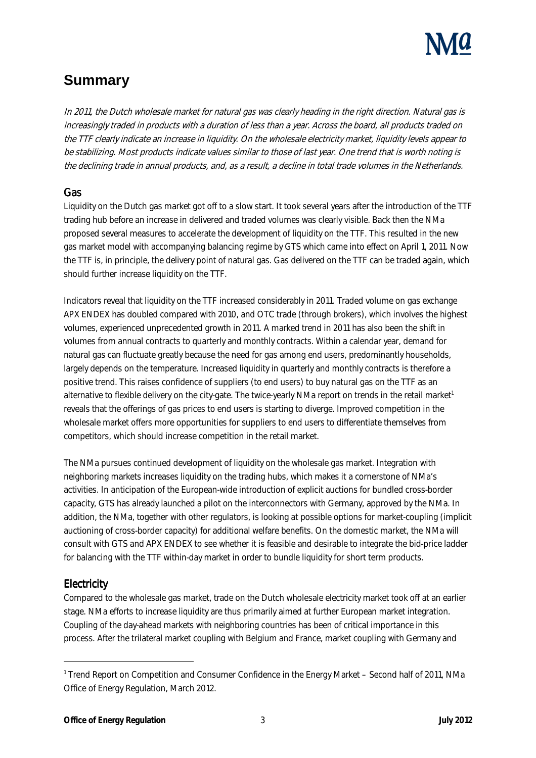

### **Summary**

In 2011, the Dutch wholesale market for natural gas was clearly heading in the right direction. Natural gas is increasingly traded in products with a duration of less than a year. Across the board, all products traded on the TTF clearly indicate an increase in liquidity. On the wholesale electricity market, liquidity levels appear to be stabilizing. Most products indicate values similar to those of last year. One trend that is worth noting is the declining trade in annual products, and, as a result, a decline in total trade volumes in the Netherlands.

#### **Gas**

Liquidity on the Dutch gas market got off to a slow start. It took several years after the introduction of the TTF trading hub before an increase in delivered and traded volumes was clearly visible. Back then the NMa proposed several measures to accelerate the development of liquidity on the TTF. This resulted in the new gas market model with accompanying balancing regime by GTS which came into effect on April 1, 2011. Now the TTF is, in principle, the delivery point of natural gas. Gas delivered on the TTF can be traded again, which should further increase liquidity on the TTF.

Indicators reveal that liquidity on the TTF increased considerably in 2011. Traded volume on gas exchange APX ENDEX has doubled compared with 2010, and OTC trade (through brokers), which involves the highest volumes, experienced unprecedented growth in 2011. A marked trend in 2011 has also been the shift in volumes from annual contracts to quarterly and monthly contracts. Within a calendar year, demand for natural gas can fluctuate greatly because the need for gas among end users, predominantly households, largely depends on the temperature. Increased liquidity in quarterly and monthly contracts is therefore a positive trend. This raises confidence of suppliers (to end users) to buy natural gas on the TTF as an alternative to flexible delivery on the city-gate. The twice-yearly NMa report on trends in the retail market<sup>1</sup> reveals that the offerings of gas prices to end users is starting to diverge. Improved competition in the wholesale market offers more opportunities for suppliers to end users to differentiate themselves from competitors, which should increase competition in the retail market.

The NMa pursues continued development of liquidity on the wholesale gas market. Integration with neighboring markets increases liquidity on the trading hubs, which makes it a cornerstone of NMa's activities. In anticipation of the European-wide introduction of explicit auctions for bundled cross-border capacity, GTS has already launched a pilot on the interconnectors with Germany, approved by the NMa. In addition, the NMa, together with other regulators, is looking at possible options for market-coupling (implicit auctioning of cross-border capacity) for additional welfare benefits. On the domestic market, the NMa will consult with GTS and APX ENDEX to see whether it is feasible and desirable to integrate the bid-price ladder for balancing with the TTF within-day market in order to bundle liquidity for short term products.

#### **Electricity**

l

Compared to the wholesale gas market, trade on the Dutch wholesale electricity market took off at an earlier stage. NMa efforts to increase liquidity are thus primarily aimed at further European market integration. Coupling of the day-ahead markets with neighboring countries has been of critical importance in this process. After the trilateral market coupling with Belgium and France, market coupling with Germany and

 $^{\rm 1}$  Trend Report on Competition and Consumer Confidence in the Energy Market – Second half of 2011, NMa Office of Energy Regulation, March 2012.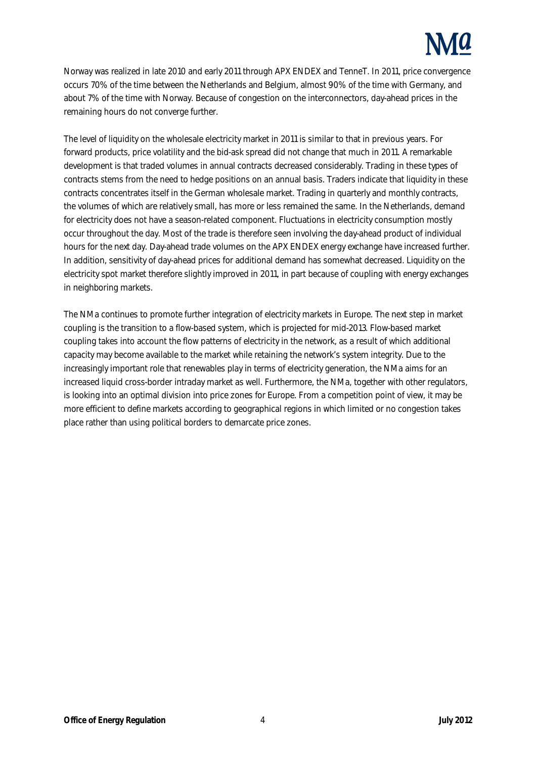

Norway was realized in late 2010 and early 2011 through APX ENDEX and TenneT. In 2011, price convergence occurs 70% of the time between the Netherlands and Belgium, almost 90% of the time with Germany, and about 7% of the time with Norway. Because of congestion on the interconnectors, day-ahead prices in the remaining hours do not converge further.

The level of liquidity on the wholesale electricity market in 2011 is similar to that in previous years. For forward products, price volatility and the bid-ask spread did not change that much in 2011. A remarkable development is that traded volumes in annual contracts decreased considerably. Trading in these types of contracts stems from the need to hedge positions on an annual basis. Traders indicate that liquidity in these contracts concentrates itself in the German wholesale market. Trading in quarterly and monthly contracts, the volumes of which are relatively small, has more or less remained the same. In the Netherlands, demand for electricity does not have a season-related component. Fluctuations in electricity consumption mostly occur throughout the day. Most of the trade is therefore seen involving the day-ahead product of individual hours for the next day. Day-ahead trade volumes on the APX ENDEX energy exchange have increased further. In addition, sensitivity of day-ahead prices for additional demand has somewhat decreased. Liquidity on the electricity spot market therefore slightly improved in 2011, in part because of coupling with energy exchanges in neighboring markets.

The NMa continues to promote further integration of electricity markets in Europe. The next step in market coupling is the transition to a flow-based system, which is projected for mid-2013. Flow-based market coupling takes into account the flow patterns of electricity in the network, as a result of which additional capacity may become available to the market while retaining the network's system integrity. Due to the increasingly important role that renewables play in terms of electricity generation, the NMa aims for an increased liquid cross-border intraday market as well. Furthermore, the NMa, together with other regulators, is looking into an optimal division into price zones for Europe. From a competition point of view, it may be more efficient to define markets according to geographical regions in which limited or no congestion takes place rather than using political borders to demarcate price zones.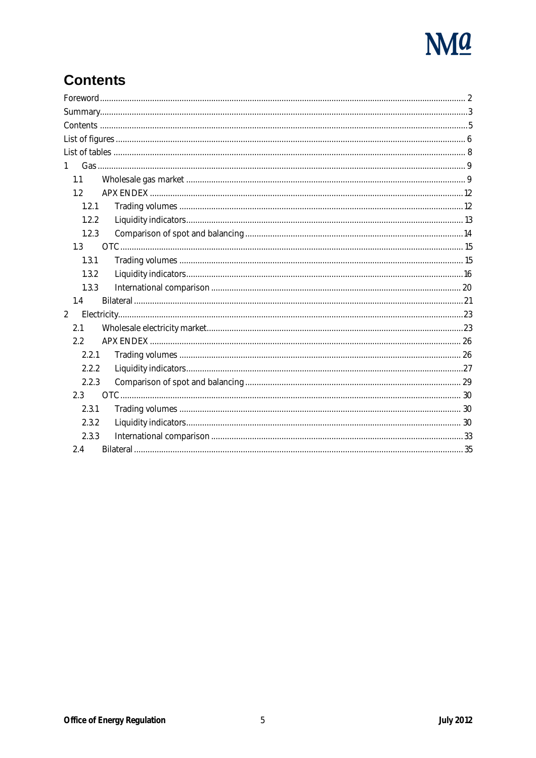

### **Contents**

| $1 \quad$        |  |
|------------------|--|
| 1.1              |  |
| 1.2 <sub>1</sub> |  |
| 1.2.1            |  |
| 1.2.2            |  |
| 1.2.3            |  |
| 1.3              |  |
| 1.3.1            |  |
| 1.3.2            |  |
| 1.3.3            |  |
| 1.4              |  |
| $\boldsymbol{2}$ |  |
| 2.1              |  |
| 2.2              |  |
| 2.2.1            |  |
| 2.2.2            |  |
| 2.2.3            |  |
| 2.3              |  |
| 2.3.1            |  |
| 2.3.2            |  |
| 2.3.3            |  |
| 2.4              |  |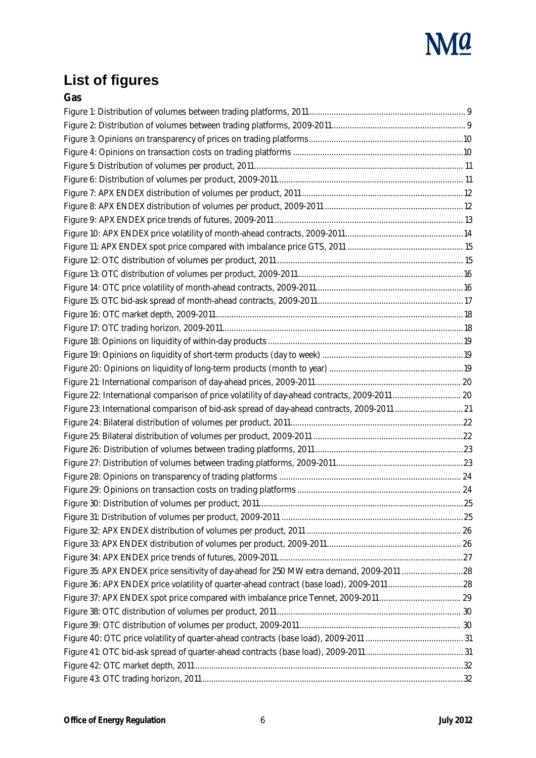

# **List of figures**

| ×<br>۰,<br>×<br>۰.<br>. .<br>$\sim$<br>. .<br>×<br>. . |
|--------------------------------------------------------|
|--------------------------------------------------------|

| Figure 22: International comparison of price volatility of day-ahead contracts, 2009-2011  20 |  |
|-----------------------------------------------------------------------------------------------|--|
| Figure 23: International comparison of bid-ask spread of day-ahead contracts, 2009-2011  21   |  |
|                                                                                               |  |
|                                                                                               |  |
|                                                                                               |  |
|                                                                                               |  |
|                                                                                               |  |
|                                                                                               |  |
|                                                                                               |  |
|                                                                                               |  |
|                                                                                               |  |
|                                                                                               |  |
|                                                                                               |  |
| Figure 35: APX ENDEX price sensitivity of day-ahead for 250 MW extra demand, 2009-2011 28     |  |
|                                                                                               |  |
|                                                                                               |  |
|                                                                                               |  |
|                                                                                               |  |
|                                                                                               |  |
|                                                                                               |  |
|                                                                                               |  |
|                                                                                               |  |
|                                                                                               |  |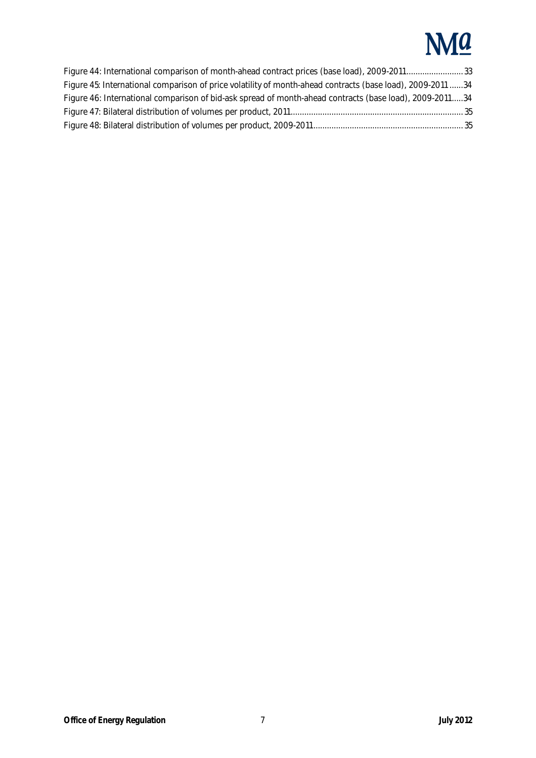# **NM**a

| Figure 44: International comparison of month-ahead contract prices (base load), 2009-201133                |  |
|------------------------------------------------------------------------------------------------------------|--|
| Figure 45: International comparison of price volatility of month-ahead contracts (base load), 2009-2011 34 |  |
| Figure 46: International comparison of bid-ask spread of month-ahead contracts (base load), 2009-201134    |  |
|                                                                                                            |  |
|                                                                                                            |  |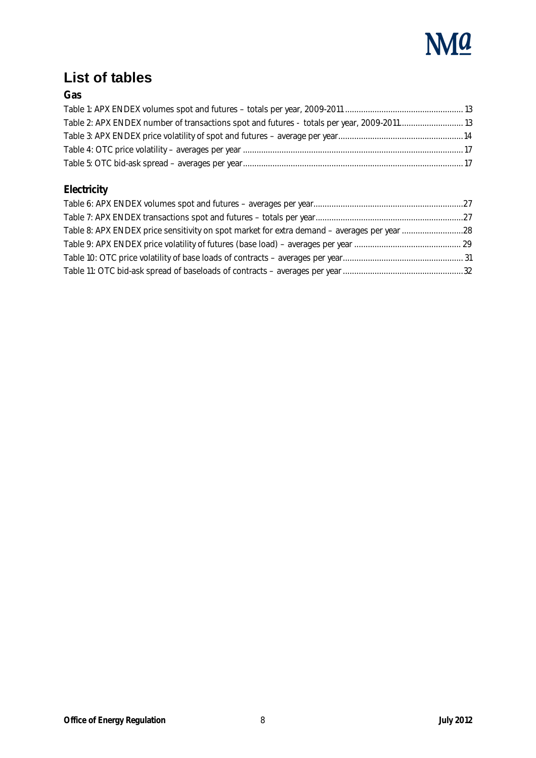

### **List of tables**

#### **Gas**

| Table 2: APX ENDEX number of transactions spot and futures - totals per year, 2009-201113 |  |
|-------------------------------------------------------------------------------------------|--|
|                                                                                           |  |
|                                                                                           |  |
|                                                                                           |  |

### **Electricity**

| Table 8: APX ENDEX price sensitivity on spot market for extra demand - averages per year 28 |  |
|---------------------------------------------------------------------------------------------|--|
|                                                                                             |  |
|                                                                                             |  |
|                                                                                             |  |
|                                                                                             |  |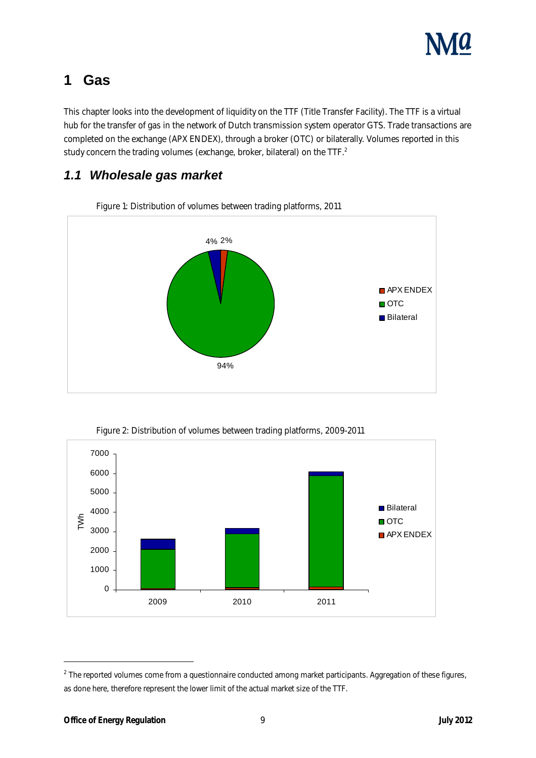

### **1 Gas**

This chapter looks into the development of liquidity on the TTF (Title Transfer Facility). The TTF is a virtual hub for the transfer of gas in the network of Dutch transmission system operator GTS. Trade transactions are completed on the exchange (APX ENDEX), through a broker (OTC) or bilaterally. Volumes reported in this study concern the trading volumes (exchange, broker, bilateral) on the TTF.<sup>2</sup>

### **1.1 Wholesale gas market**



Figure 1: Distribution of volumes between trading platforms, 2011



l

 $^2$  The reported volumes come from a questionnaire conducted among market participants. Aggregation of these figures, as done here, therefore represent the lower limit of the actual market size of the TTF.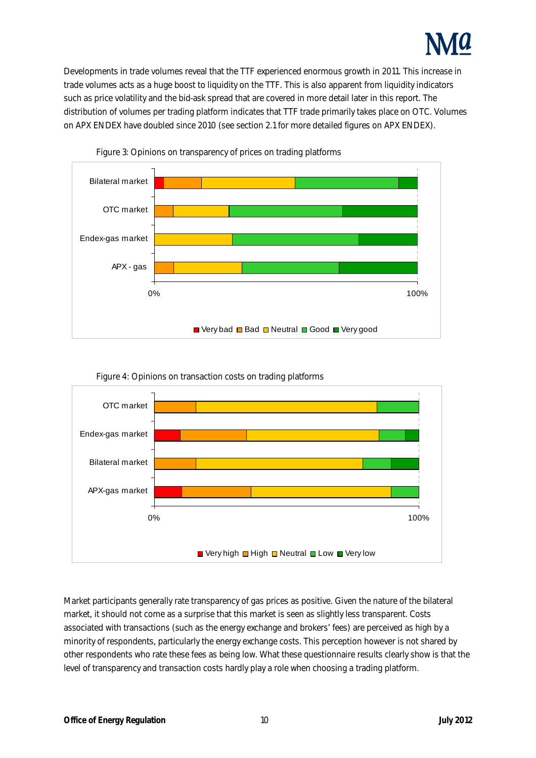

Developments in trade volumes reveal that the TTF experienced enormous growth in 2011. This increase in trade volumes acts as a huge boost to liquidity on the TTF. This is also apparent from liquidity indicators such as price volatility and the bid-ask spread that are covered in more detail later in this report. The distribution of volumes per trading platform indicates that TTF trade primarily takes place on OTC. Volumes on APX ENDEX have doubled since 2010 (see section 2.1 for more detailed figures on APX ENDEX).







Figure 4: Opinions on transaction costs on trading platforms

Market participants generally rate transparency of gas prices as positive. Given the nature of the bilateral market, it should not come as a surprise that this market is seen as slightly less transparent. Costs associated with transactions (such as the energy exchange and brokers' fees) are perceived as high by a minority of respondents, particularly the energy exchange costs. This perception however is not shared by other respondents who rate these fees as being low. What these questionnaire results clearly show is that the level of transparency and transaction costs hardly play a role when choosing a trading platform.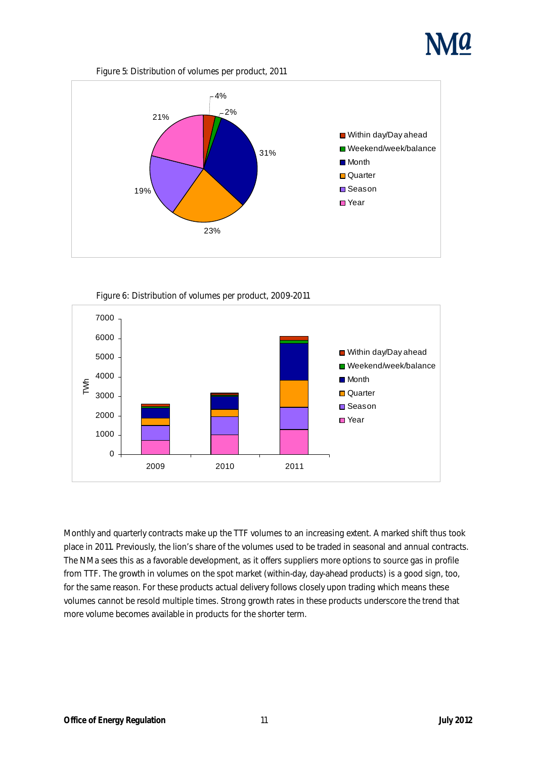

#### Figure 5: Distribution of volumes per product, 2011







Monthly and quarterly contracts make up the TTF volumes to an increasing extent. A marked shift thus took place in 2011. Previously, the lion's share of the volumes used to be traded in seasonal and annual contracts. The NMa sees this as a favorable development, as it offers suppliers more options to source gas in profile from TTF. The growth in volumes on the spot market (within-day, day-ahead products) is a good sign, too, for the same reason. For these products actual delivery follows closely upon trading which means these volumes cannot be resold multiple times. Strong growth rates in these products underscore the trend that more volume becomes available in products for the shorter term.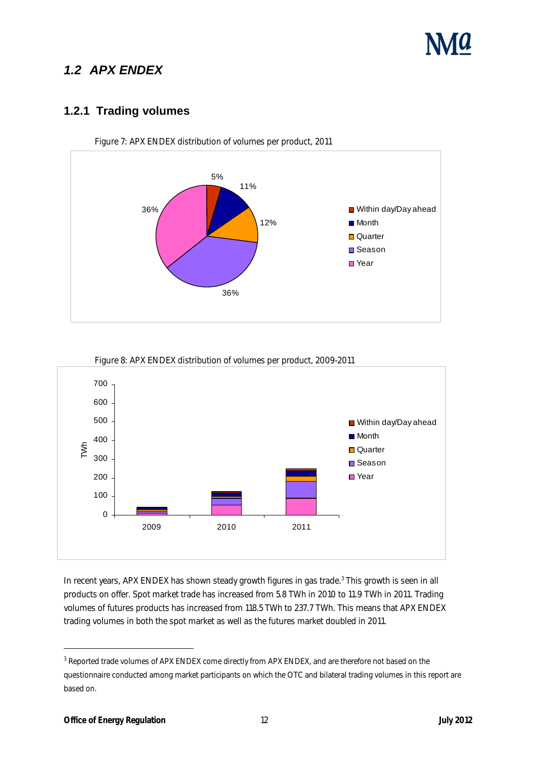

### **1.2 APX ENDEX**

#### **1.2.1 Trading volumes**



Figure 7: APX ENDEX distribution of volumes per product, 2011



Figure 8: APX ENDEX distribution of volumes per product, 2009-2011

In recent years, APX ENDEX has shown steady growth figures in gas trade.<sup>3</sup> This growth is seen in all products on offer. Spot market trade has increased from 5.8 TWh in 2010 to 11.9 TWh in 2011. Trading volumes of futures products has increased from 118.5 TWh to 237.7 TWh. This means that APX ENDEX trading volumes in both the spot market as well as the futures market doubled in 2011.

l

 $\rm{^3}$  Reported trade volumes of APX ENDEX come directly from APX ENDEX, and are therefore not based on the questionnaire conducted among market participants on which the OTC and bilateral trading volumes in this report are based on.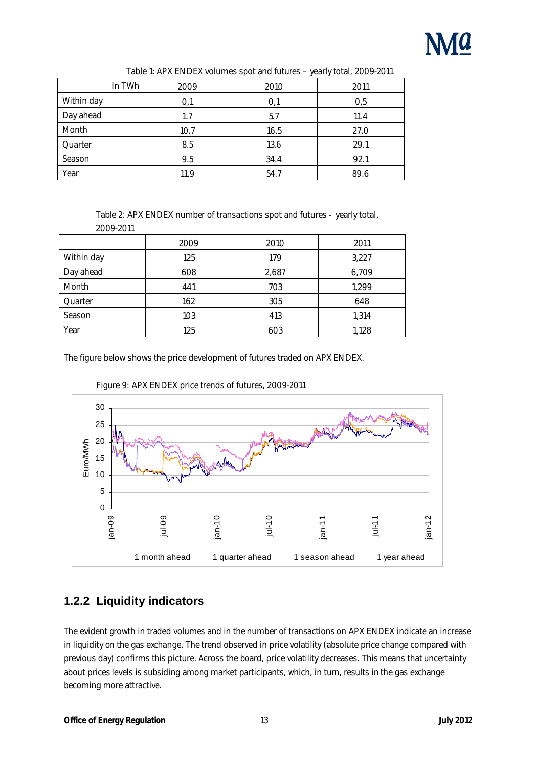

| In TWh            | 2009 | 2010 | 2011 |
|-------------------|------|------|------|
| <b>Within day</b> | 0,1  | 0,1  | 0,5  |
| Day ahead         | 1.7  | 5.7  | 11.4 |
| <b>Month</b>      | 10.7 | 16.5 | 27.0 |
| Quarter           | 8.5  | 13.6 | 29.1 |
| <b>Season</b>     | 9.5  | 34.4 | 92.1 |
| Year              | 11.9 | 54.7 | 89.6 |

#### Table 1: APX ENDEX volumes spot and futures – yearly total, 2009-2011

Table 2: APX ENDEX number of transactions spot and futures - yearly total,

| 2009-2011     |      |       |       |
|---------------|------|-------|-------|
|               | 2009 | 2010  | 2011  |
| Within day    | 125  | 179   | 3,227 |
| Day ahead     | 608  | 2,687 | 6,709 |
| Month         | 441  | 703   | 1,299 |
| Quarter       | 162  | 305   | 648   |
| <b>Season</b> | 103  | 413   | 1,314 |
| Year          | 125  | 603   | 1,128 |

The figure below shows the price development of futures traded on APX ENDEX.





### **1.2.2 Liquidity indicators**

The evident growth in traded volumes and in the number of transactions on APX ENDEX indicate an increase in liquidity on the gas exchange. The trend observed in price volatility (absolute price change compared with previous day) confirms this picture. Across the board, price volatility decreases. This means that uncertainty about prices levels is subsiding among market participants, which, in turn, results in the gas exchange becoming more attractive.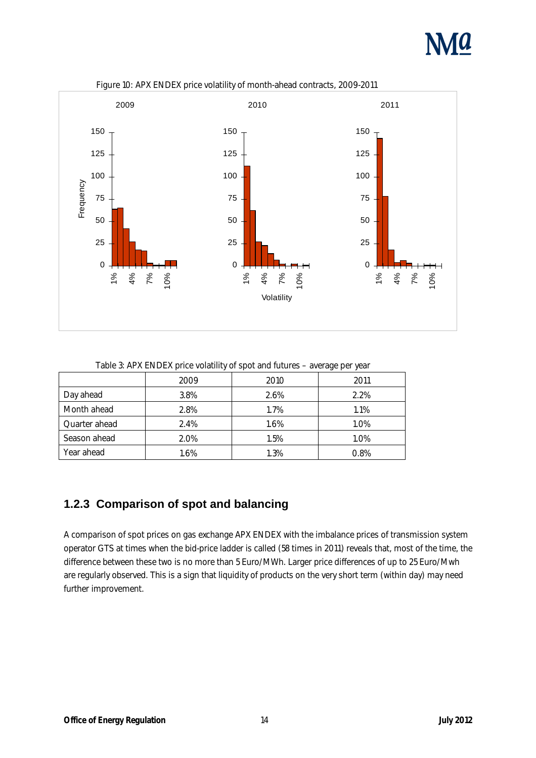



Figure 10: APX ENDEX price volatility of month-ahead contracts, 2009-2011

Table 3: APX ENDEX price volatility of spot and futures – average per year

|                      | 2009 | 2010 | 2011    |
|----------------------|------|------|---------|
| Day ahead            | 3.8% | 2.6% | $2.2\%$ |
| <b>Month ahead</b>   | 2.8% | 1.7% | 1.1%    |
| <b>Quarter ahead</b> | 2.4% | 1.6% | 1.0%    |
| Season ahead         | 2.0% | 1.5% | 1.0%    |
| <b>Year ahead</b>    | 1.6% | 1.3% | 0.8%    |

#### **1.2.3 Comparison of spot and balancing**

A comparison of spot prices on gas exchange APX ENDEX with the imbalance prices of transmission system operator GTS at times when the bid-price ladder is called (58 times in 2011) reveals that, most of the time, the difference between these two is no more than 5 Euro/MWh. Larger price differences of up to 25 Euro/Mwh are regularly observed. This is a sign that liquidity of products on the very short term (within day) may need further improvement.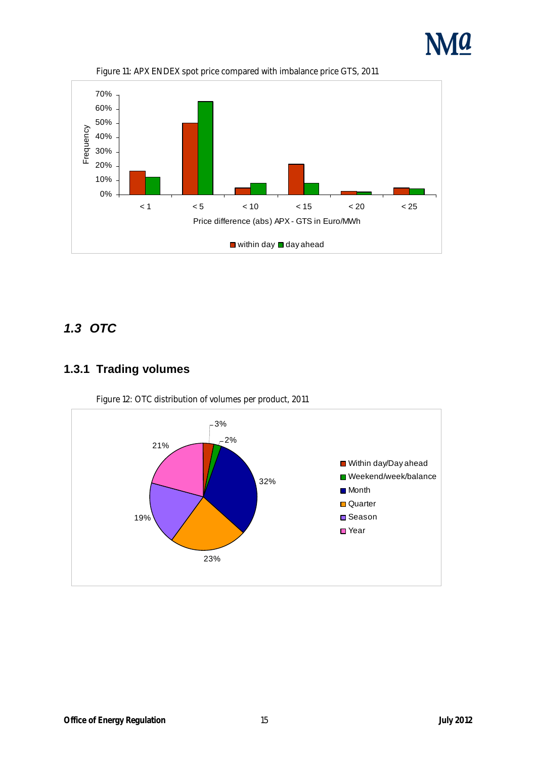



Figure 11: APX ENDEX spot price compared with imbalance price GTS, 2011

### **1.3 OTC**

### **1.3.1 Trading volumes**



Figure 12: OTC distribution of volumes per product, 2011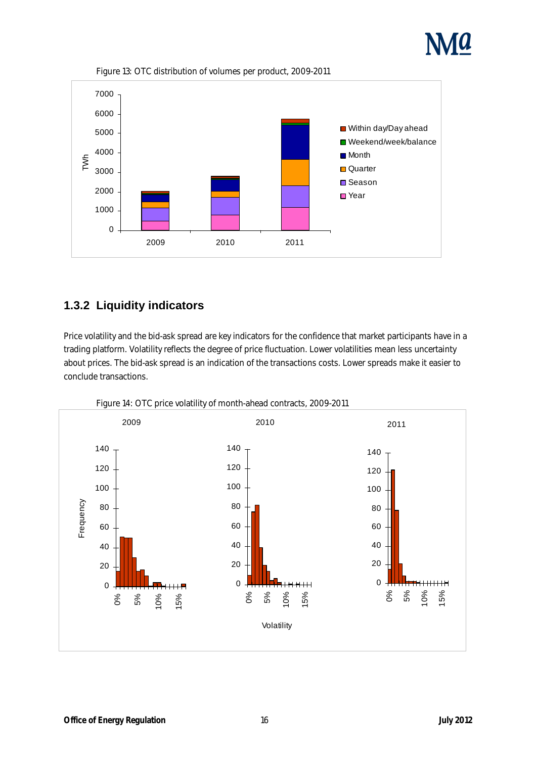



Figure 13: OTC distribution of volumes per product, 2009-2011

#### **1.3.2 Liquidity indicators**

Price volatility and the bid-ask spread are key indicators for the confidence that market participants have in a trading platform. Volatility reflects the degree of price fluctuation. Lower volatilities mean less uncertainty about prices. The bid-ask spread is an indication of the transactions costs. Lower spreads make it easier to conclude transactions.



Figure 14: OTC price volatility of month-ahead contracts, 2009-2011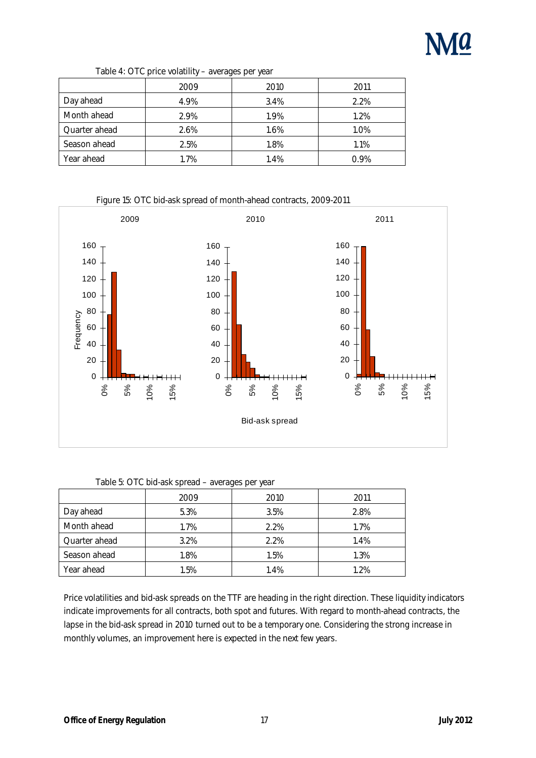

| Table 4: OTC price volatility - averages per year |  |
|---------------------------------------------------|--|
|---------------------------------------------------|--|

|                      | 2009 | 2010 | 2011    |
|----------------------|------|------|---------|
| Day ahead            | 4.9% | 3.4% | 2.2%    |
| <b>Month ahead</b>   | 2.9% | 1.9% | 1.2%    |
| <b>Quarter ahead</b> | 2.6% | 1.6% | 1.0%    |
| Season ahead         | 2.5% | 1.8% | 1.1%    |
| <b>Year ahead</b>    | 1.7% | 1.4% | $0.9\%$ |

Figure 15: OTC bid-ask spread of month-ahead contracts, 2009-2011



#### Table 5: OTC bid-ask spread – averages per year

|                      | 2009 | 2010    | 2011 |
|----------------------|------|---------|------|
| Day ahead            | 5.3% | 3.5%    | 2.8% |
| <b>Month ahead</b>   | 1.7% | $2.2\%$ | 1.7% |
| <b>Quarter ahead</b> | 3.2% | 2.2%    | 1.4% |
| <b>Season ahead</b>  | 1.8% | 1.5%    | 1.3% |
| Year ahead           | 1.5% | 1.4%    | 1.2% |

Price volatilities and bid-ask spreads on the TTF are heading in the right direction. These liquidity indicators indicate improvements for all contracts, both spot and futures. With regard to month-ahead contracts, the lapse in the bid-ask spread in 2010 turned out to be a temporary one. Considering the strong increase in monthly volumes, an improvement here is expected in the next few years.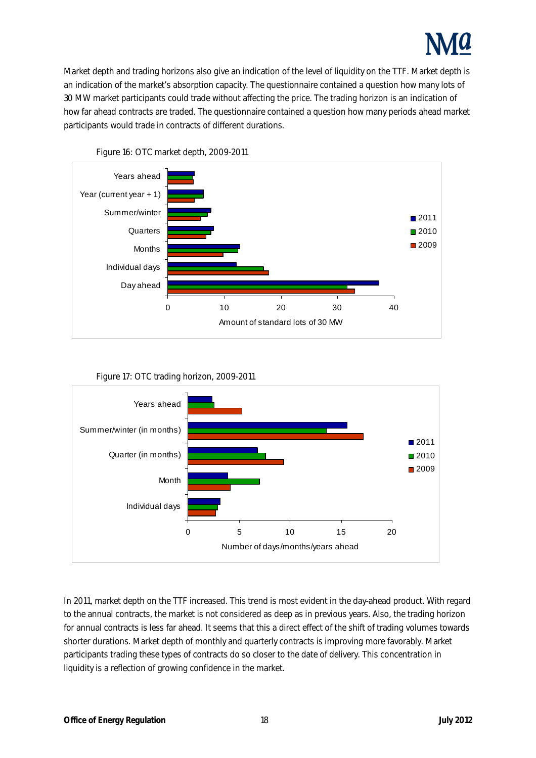

Market depth and trading horizons also give an indication of the level of liquidity on the TTF. Market depth is an indication of the market's absorption capacity. The questionnaire contained a question how many lots of 30 MW market participants could trade without affecting the price. The trading horizon is an indication of how far ahead contracts are traded. The questionnaire contained a question how many periods ahead market participants would trade in contracts of different durations.



Figure 16: OTC market depth, 2009-2011





In 2011, market depth on the TTF increased. This trend is most evident in the day-ahead product. With regard to the annual contracts, the market is not considered as deep as in previous years. Also, the trading horizon for annual contracts is less far ahead. It seems that this a direct effect of the shift of trading volumes towards shorter durations. Market depth of monthly and quarterly contracts is improving more favorably. Market participants trading these types of contracts do so closer to the date of delivery. This concentration in liquidity is a reflection of growing confidence in the market.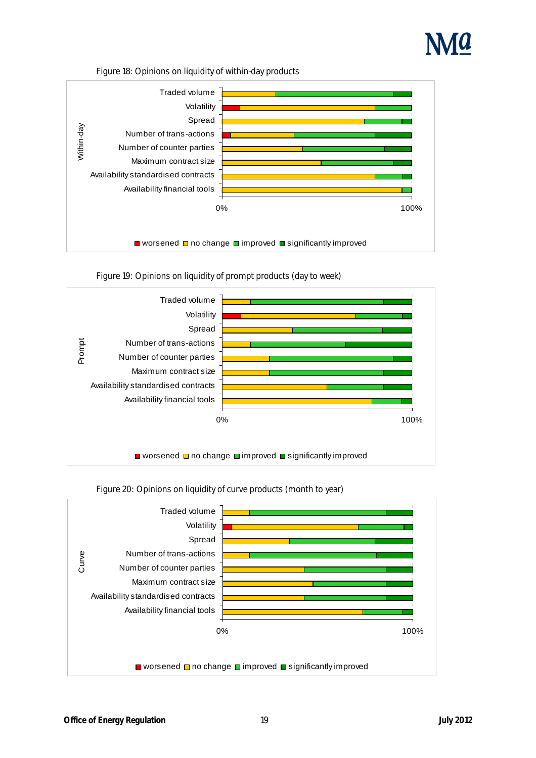

#### Figure 18: Opinions on liquidity of within-day products



Figure 19: Opinions on liquidity of prompt products (day to week)





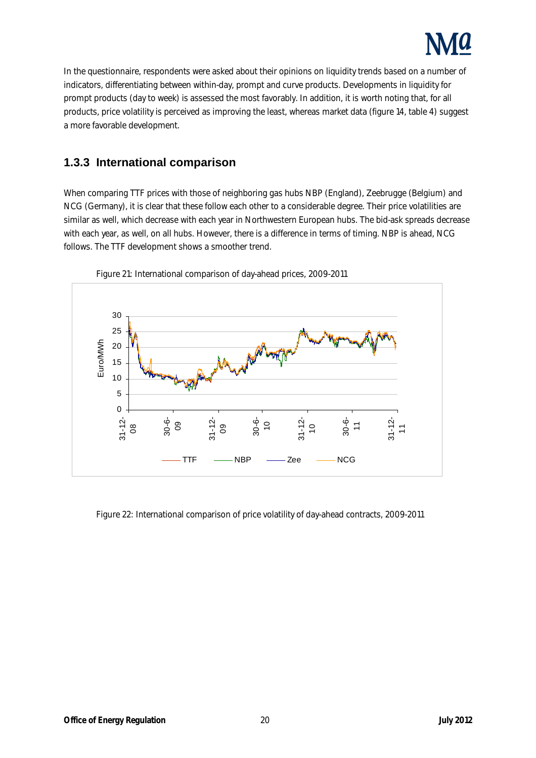

In the questionnaire, respondents were asked about their opinions on liquidity trends based on a number of indicators, differentiating between within-day, prompt and curve products. Developments in liquidity for prompt products (day to week) is assessed the most favorably. In addition, it is worth noting that, for all products, price volatility is perceived as improving the least, whereas market data (figure 14, table 4) suggest a more favorable development.

#### **1.3.3 International comparison**

When comparing TTF prices with those of neighboring gas hubs NBP (England), Zeebrugge (Belgium) and NCG (Germany), it is clear that these follow each other to a considerable degree. Their price volatilities are similar as well, which decrease with each year in Northwestern European hubs. The bid-ask spreads decrease with each year, as well, on all hubs. However, there is a difference in terms of timing. NBP is ahead, NCG follows. The TTF development shows a smoother trend.



Figure 21: International comparison of day-ahead prices, 2009-2011

Figure 22: International comparison of price volatility of day-ahead contracts, 2009-2011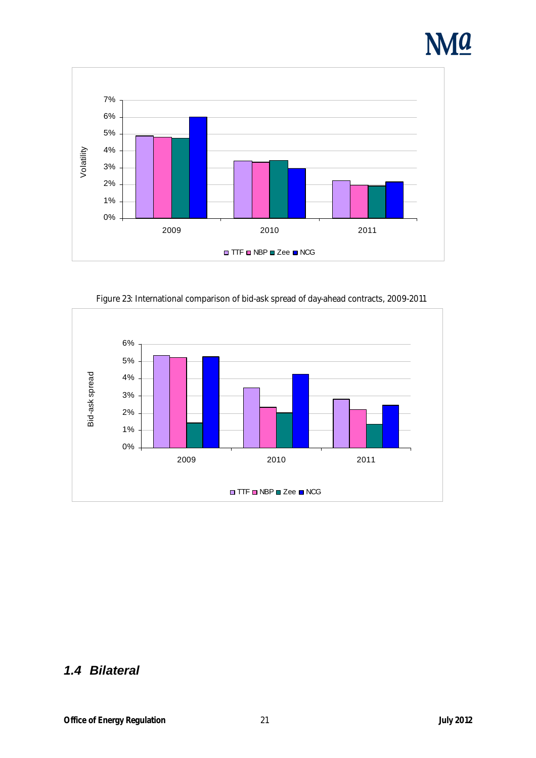



Figure 23: International comparison of bid-ask spread of day-ahead contracts, 2009-2011



### **1.4 Bilateral**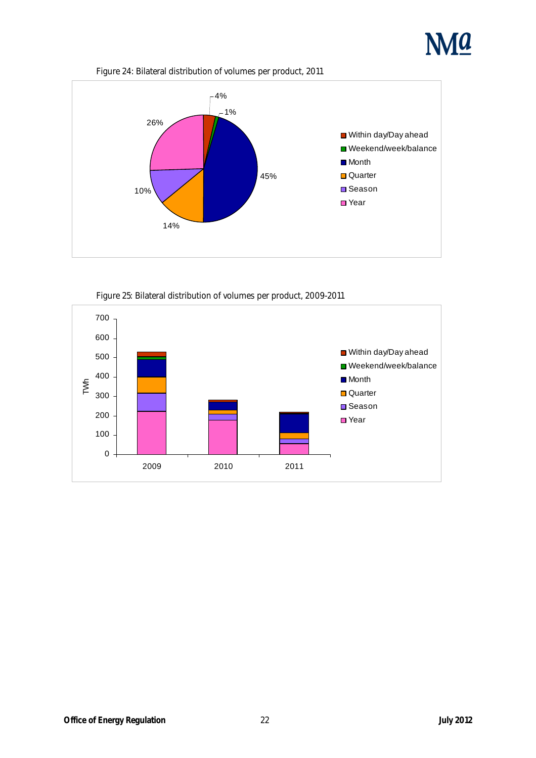

Figure 24: Bilateral distribution of volumes per product, 2011



Figure 25: Bilateral distribution of volumes per product, 2009-2011

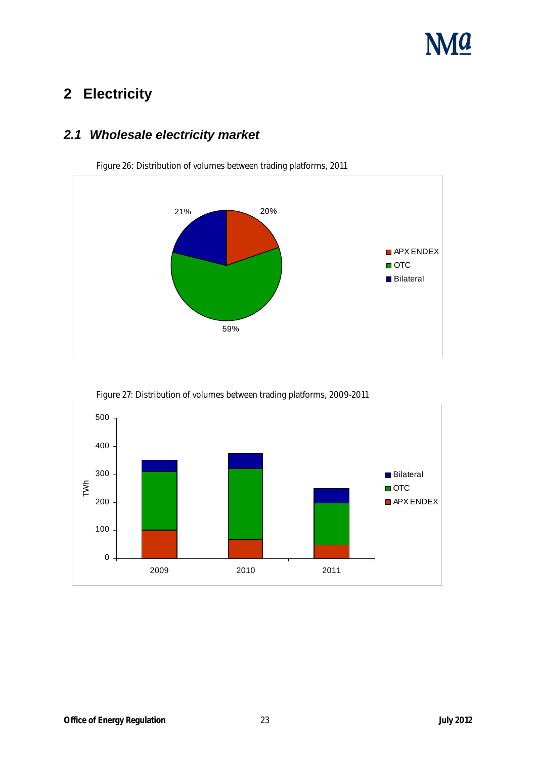# **NMA**

### **2 Electricity**

### **2.1 Wholesale electricity market**



Figure 26: Distribution of volumes between trading platforms, 2011



Figure 27: Distribution of volumes between trading platforms, 2009-2011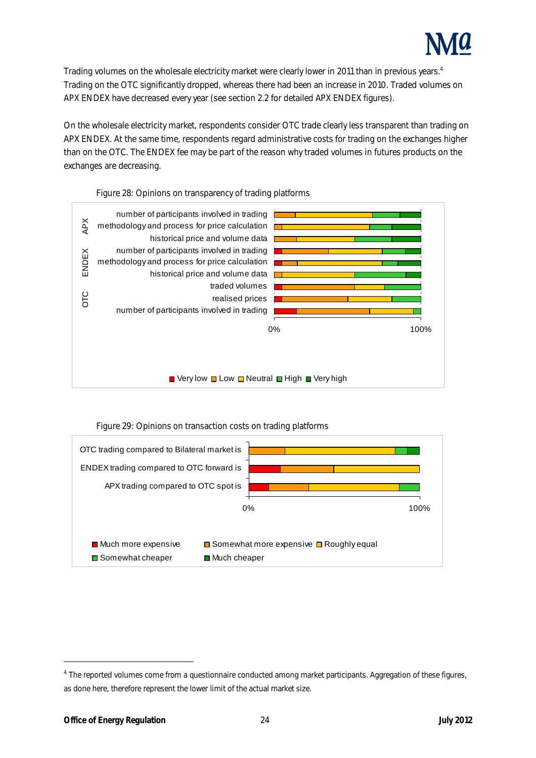

Trading volumes on the wholesale electricity market were clearly lower in 2011 than in previous years.<sup>4</sup> Trading on the OTC significantly dropped, whereas there had been an increase in 2010. Traded volumes on APX ENDEX have decreased every year (see section 2.2 for detailed APX ENDEX figures).

On the wholesale electricity market, respondents consider OTC trade clearly less transparent than trading on APX ENDEX. At the same time, respondents regard administrative costs for trading on the exchanges higher than on the OTC. The ENDEX fee may be part of the reason why traded volumes in futures products on the exchanges are decreasing.



Figure 28: Opinions on transparency of trading platforms





l

<sup>4</sup> The reported volumes come from a questionnaire conducted among market participants. Aggregation of these figures, as done here, therefore represent the lower limit of the actual market size.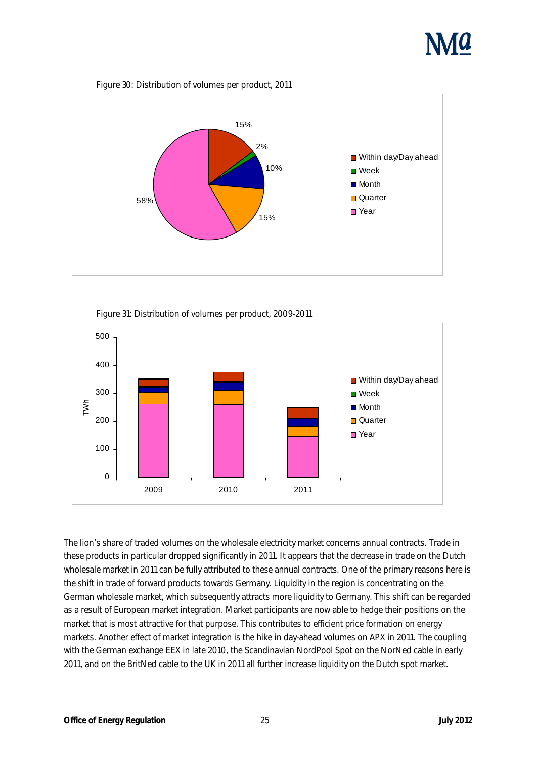





Figure 31: Distribution of volumes per product, 2009-2011



The lion's share of traded volumes on the wholesale electricity market concerns annual contracts. Trade in these products in particular dropped significantly in 2011. It appears that the decrease in trade on the Dutch wholesale market in 2011 can be fully attributed to these annual contracts. One of the primary reasons here is the shift in trade of forward products towards Germany. Liquidity in the region is concentrating on the German wholesale market, which subsequently attracts more liquidity to Germany. This shift can be regarded as a result of European market integration. Market participants are now able to hedge their positions on the market that is most attractive for that purpose. This contributes to efficient price formation on energy markets. Another effect of market integration is the hike in day-ahead volumes on APX in 2011. The coupling with the German exchange EEX in late 2010, the Scandinavian NordPool Spot on the NorNed cable in early 2011, and on the BritNed cable to the UK in 2011 all further increase liquidity on the Dutch spot market.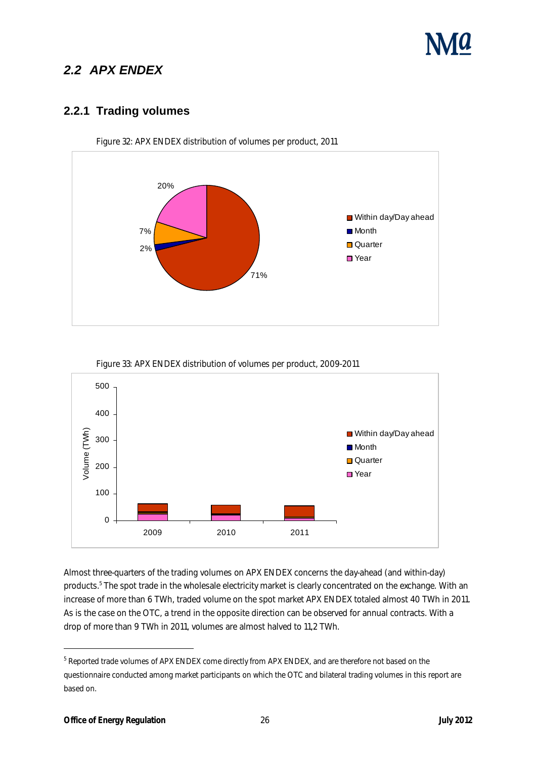### **2.2 APX ENDEX**

#### **2.2.1 Trading volumes**



Figure 32: APX ENDEX distribution of volumes per product, 2011



Figure 33: APX ENDEX distribution of volumes per product, 2009-2011

Almost three-quarters of the trading volumes on APX ENDEX concerns the day-ahead (and within-day) products.<sup>5</sup> The spot trade in the wholesale electricity market is clearly concentrated on the exchange. With an increase of more than 6 TWh, traded volume on the spot market APX ENDEX totaled almost 40 TWh in 2011. As is the case on the OTC, a trend in the opposite direction can be observed for annual contracts. With a drop of more than 9 TWh in 2011, volumes are almost halved to 11,2 TWh.

l

 $^5$  Reported trade volumes of APX ENDEX come directly from APX ENDEX, and are therefore not based on the questionnaire conducted among market participants on which the OTC and bilateral trading volumes in this report are based on.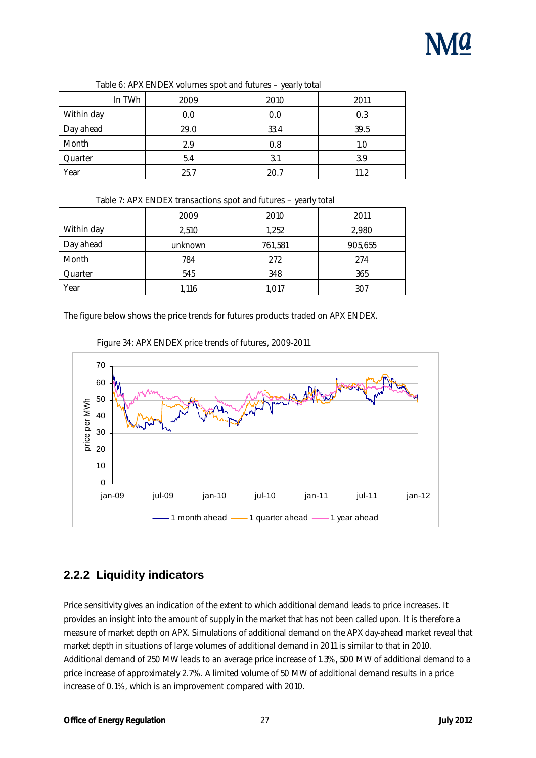|                   |      | . .  |      |
|-------------------|------|------|------|
| In TWh            | 2009 | 2010 | 2011 |
| <b>Within day</b> | 0.0  | 0.0  | 0.3  |
| Day ahead         | 29.0 | 33.4 | 39.5 |
| <b>Month</b>      | 2.9  | 0.8  | 1.0  |
| Quarter           | 5.4  | 3.1  | 3.9  |
| Year              | 25.7 | 20.7 | 11.2 |

#### Table 6: APX ENDEX volumes spot and futures – yearly total

|              | 2009    | 2010    | 2011    |
|--------------|---------|---------|---------|
| Within day   | 2,510   | 1,252   | 2,980   |
| Day ahead    | unknown | 761,581 | 905,655 |
| <b>Month</b> | 784     | 272     | 274     |
| Quarter      | 545     | 348     | 365     |
| Year         | 1,116   | 1,017   | 307     |

The figure below shows the price trends for futures products traded on APX ENDEX.





### **2.2.2 Liquidity indicators**

Price sensitivity gives an indication of the extent to which additional demand leads to price increases. It provides an insight into the amount of supply in the market that has not been called upon. It is therefore a measure of market depth on APX. Simulations of additional demand on the APX day-ahead market reveal that market depth in situations of large volumes of additional demand in 2011 is similar to that in 2010. Additional demand of 250 MW leads to an average price increase of 1.3%, 500 MW of additional demand to a price increase of approximately 2.7%. A limited volume of 50 MW of additional demand results in a price increase of 0.1%, which is an improvement compared with 2010.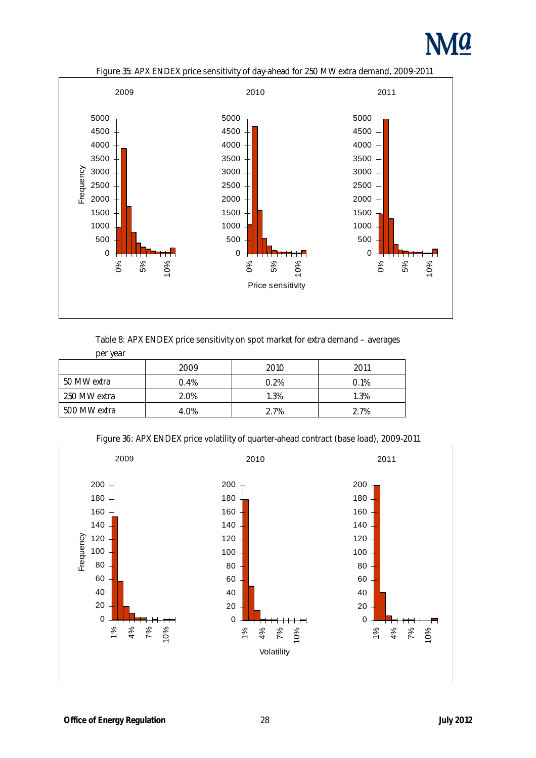





#### Table 8: APX ENDEX price sensitivity on spot market for extra demand – averages

| per year     |      |      |         |
|--------------|------|------|---------|
|              | 2009 | 2010 | 2011    |
| 50 MW extra  | 0.4% | 0.2% | $0.1\%$ |
| 250 MW extra | 2.0% | 1.3% | 1.3%    |
| 500 MW extra | 4.0% | 2.7% | 2.7%    |



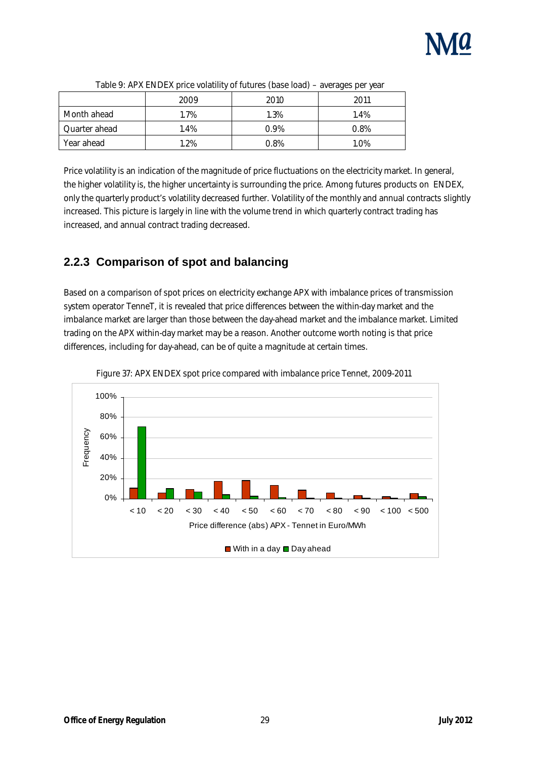

|                    | $\cdot$ |         | . .<br>. . |
|--------------------|---------|---------|------------|
|                    | 2009    | 2010    | 2011       |
| <b>Month ahead</b> | 1.7%    | 1.3%    | 1.4%       |
| Quarter ahead      | 1.4%    | $0.9\%$ | 0.8%       |
| <b>Year ahead</b>  | 1.2%    | 0.8%    | 1.0%       |

Price volatility is an indication of the magnitude of price fluctuations on the electricity market. In general, the higher volatility is, the higher uncertainty is surrounding the price. Among futures products on ENDEX, only the quarterly product's volatility decreased further. Volatility of the monthly and annual contracts slightly increased. This picture is largely in line with the volume trend in which quarterly contract trading has increased, and annual contract trading decreased.

### **2.2.3 Comparison of spot and balancing**

Based on a comparison of spot prices on electricity exchange APX with imbalance prices of transmission system operator TenneT, it is revealed that price differences between the within-day market and the imbalance market are larger than those between the day-ahead market and the imbalance market. Limited trading on the APX within-day market may be a reason. Another outcome worth noting is that price differences, including for day-ahead, can be of quite a magnitude at certain times.



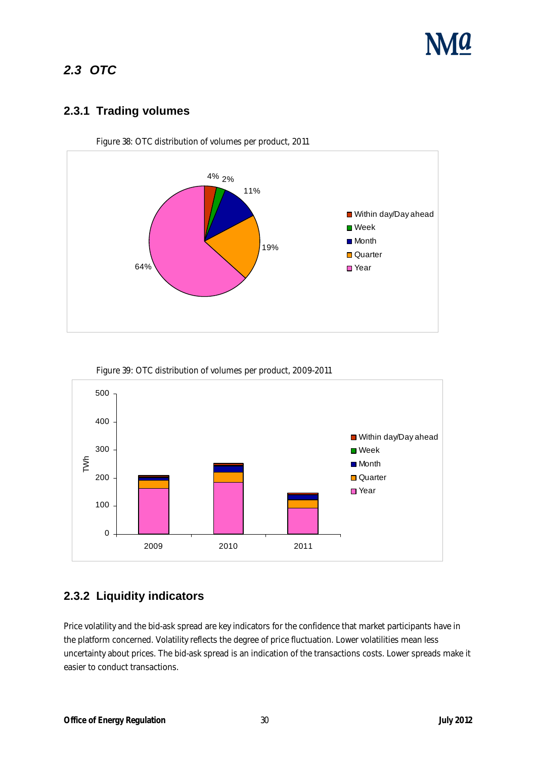

### **2.3 OTC**

#### **2.3.1 Trading volumes**



Figure 38: OTC distribution of volumes per product, 2011



Figure 39: OTC distribution of volumes per product, 2009-2011

#### **2.3.2 Liquidity indicators**

Price volatility and the bid-ask spread are key indicators for the confidence that market participants have in the platform concerned. Volatility reflects the degree of price fluctuation. Lower volatilities mean less uncertainty about prices. The bid-ask spread is an indication of the transactions costs. Lower spreads make it easier to conduct transactions.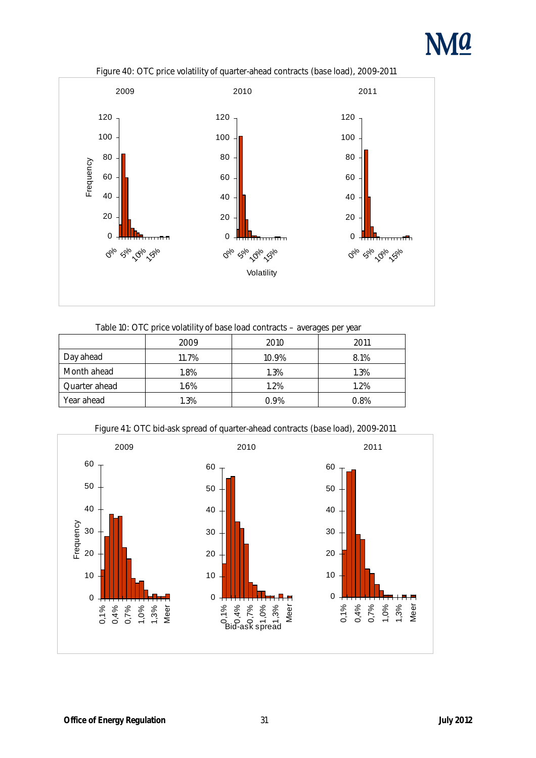



Figure 40: OTC price volatility of quarter-ahead contracts (base load), 2009-2011

|  |  |  |  | Table 10: OTC price volatility of base load contracts – averages per year |
|--|--|--|--|---------------------------------------------------------------------------|
|--|--|--|--|---------------------------------------------------------------------------|

|                      | 2009  | 2010    | 2011 |
|----------------------|-------|---------|------|
| Day ahead            | 11.7% | 10.9%   | 8.1% |
| <b>Month ahead</b>   | 1.8%  | 1.3%    | 1.3% |
| <b>Quarter ahead</b> | 1.6%  | 1.2%    | 1.2% |
| <b>Year ahead</b>    | 1.3%  | $0.9\%$ | 0.8% |

Figure 41: OTC bid-ask spread of quarter-ahead contracts (base load), 2009-2011

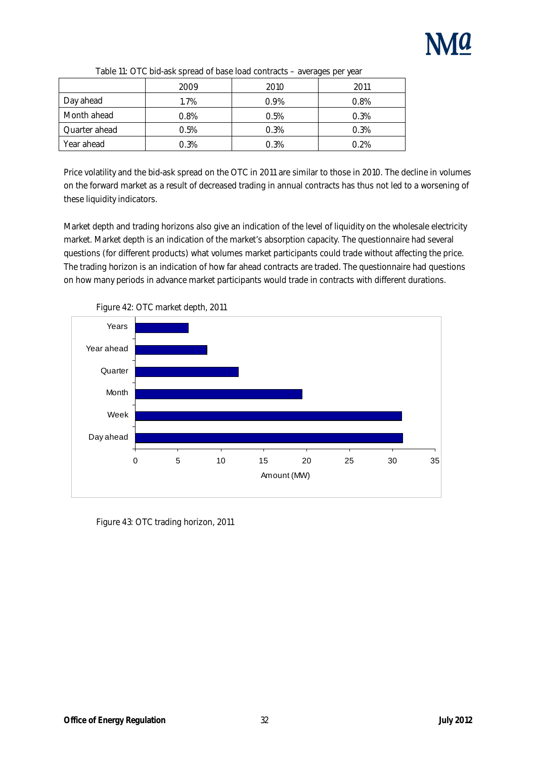

|                      |         |      | $\boldsymbol{\omega}$<br>$\cdot$ |
|----------------------|---------|------|----------------------------------|
|                      | 2009    | 2010 | 2011                             |
| Day ahead            | 1.7%    | 0.9% | $0.8\%$                          |
| <b>Month ahead</b>   | $0.8\%$ | 0.5% | 0.3%                             |
| <b>Quarter ahead</b> | 0.5%    | 0.3% | 0.3%                             |
| <b>Year ahead</b>    | 0.3%    | 0.3% | 0.2%                             |

| Table 11: OTC bid-ask spread of base load contracts - averages per year |
|-------------------------------------------------------------------------|
|-------------------------------------------------------------------------|

Price volatility and the bid-ask spread on the OTC in 2011 are similar to those in 2010. The decline in volumes on the forward market as a result of decreased trading in annual contracts has thus not led to a worsening of these liquidity indicators.

Market depth and trading horizons also give an indication of the level of liquidity on the wholesale electricity market. Market depth is an indication of the market's absorption capacity. The questionnaire had several questions (for different products) what volumes market participants could trade without affecting the price. The trading horizon is an indication of how far ahead contracts are traded. The questionnaire had questions on how many periods in advance market participants would trade in contracts with different durations.



Figure 42: OTC market depth, 2011

Figure 43: OTC trading horizon, 2011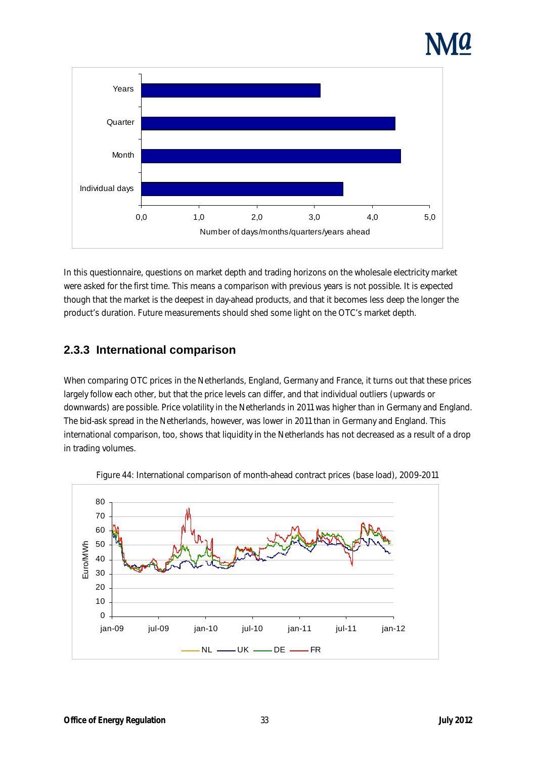

In this questionnaire, questions on market depth and trading horizons on the wholesale electricity market were asked for the first time. This means a comparison with previous years is not possible. It is expected though that the market is the deepest in day-ahead products, and that it becomes less deep the longer the product's duration. Future measurements should shed some light on the OTC's market depth.

### **2.3.3 International comparison**

When comparing OTC prices in the Netherlands, England, Germany and France, it turns out that these prices largely follow each other, but that the price levels can differ, and that individual outliers (upwards or downwards) are possible. Price volatility in the Netherlands in 2011 was higher than in Germany and England. The bid-ask spread in the Netherlands, however, was lower in 2011 than in Germany and England. This international comparison, too, shows that liquidity in the Netherlands has not decreased as a result of a drop in trading volumes.



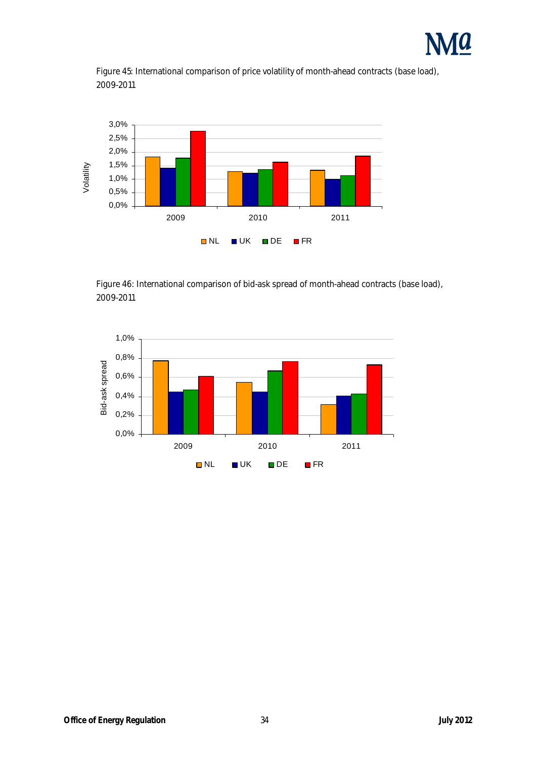





Figure 46: International comparison of bid-ask spread of month-ahead contracts (base load), 2009-2011